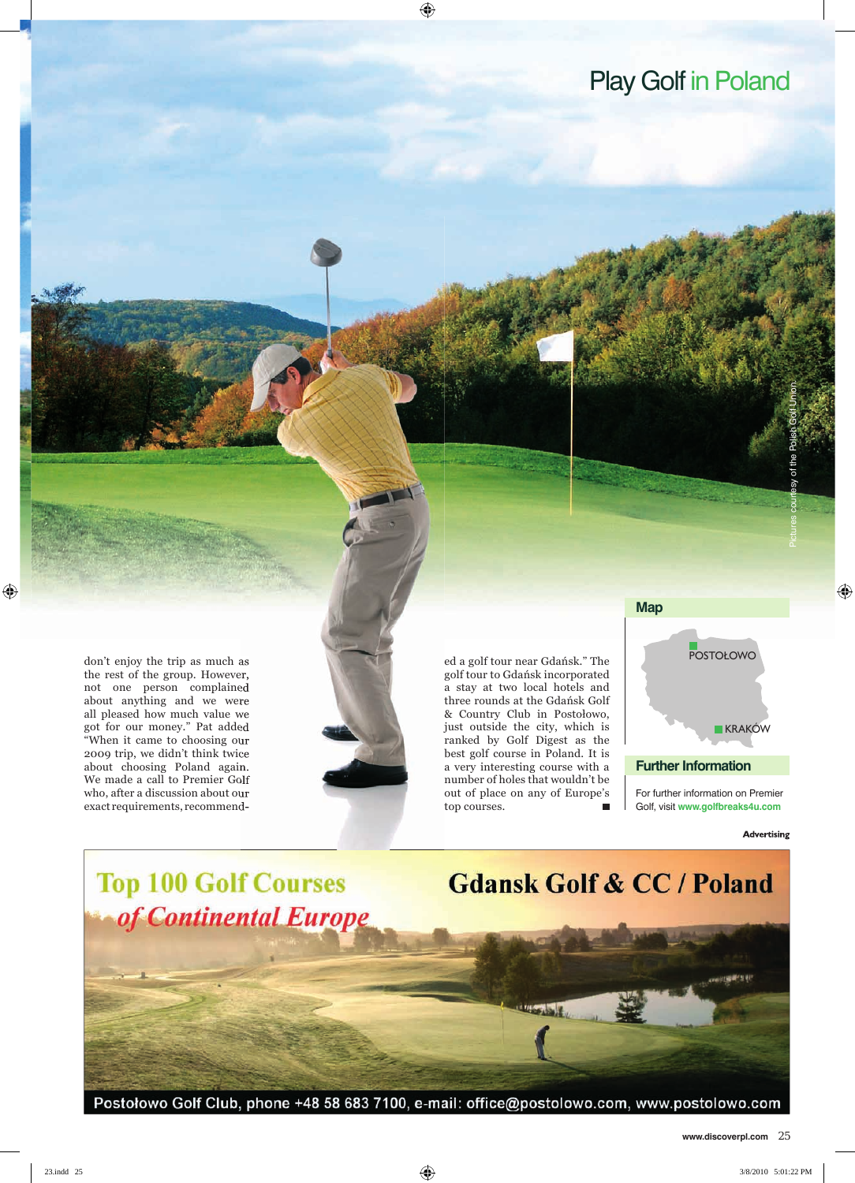## Play Golf in Poland

don't enjoy the trip as much as **Exercise 2008** Contract a golf tour near Gdańsk." The **EXERCISTION** CONTON CONTON the rest of the group. However, not one person complained about anything and we were all pleased how much value we got for our money." Pat added "When it came to choosing our 2009 trip, we didn't think twice about choosing Poland again. We made a call to Premier Golf who, after a discussion about our exact requirements, recommend-



golf tour to Gdańsk incorporated a stay at two local hotels and three rounds at the Gdańsk Golf & Country Club in Postołowo, just outside the city, which is ranked by Golf Digest as the best golf course in Poland. It is a very interesting course with a number of holes that wouldn't be out of place on any of Europe's top courses.



For further information on Premier Golf, visit **www.golfbreaks4u.com**

**Advertising** 



Postołowo Golf Club, phone +48 58 683 7100, e-mail: office@postolowo.com, www.postolowo.com